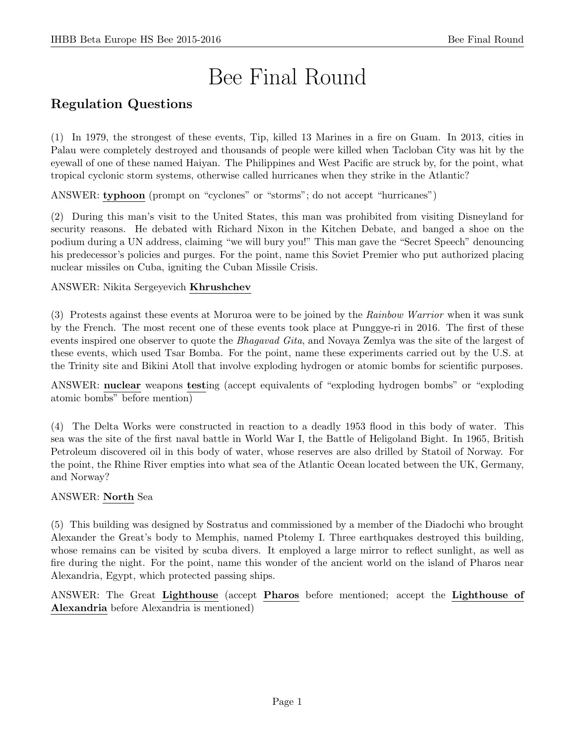# Bee Final Round

# Regulation Questions

(1) In 1979, the strongest of these events, Tip, killed 13 Marines in a fire on Guam. In 2013, cities in Palau were completely destroyed and thousands of people were killed when Tacloban City was hit by the eyewall of one of these named Haiyan. The Philippines and West Pacific are struck by, for the point, what tropical cyclonic storm systems, otherwise called hurricanes when they strike in the Atlantic?

ANSWER: typhoon (prompt on "cyclones" or "storms"; do not accept "hurricanes")

(2) During this man's visit to the United States, this man was prohibited from visiting Disneyland for security reasons. He debated with Richard Nixon in the Kitchen Debate, and banged a shoe on the podium during a UN address, claiming "we will bury you!" This man gave the "Secret Speech" denouncing his predecessor's policies and purges. For the point, name this Soviet Premier who put authorized placing nuclear missiles on Cuba, igniting the Cuban Missile Crisis.

# ANSWER: Nikita Sergeyevich Khrushchev

(3) Protests against these events at Moruroa were to be joined by the Rainbow Warrior when it was sunk by the French. The most recent one of these events took place at Punggye-ri in 2016. The first of these events inspired one observer to quote the *Bhagavad Gita*, and Novaya Zemlya was the site of the largest of these events, which used Tsar Bomba. For the point, name these experiments carried out by the U.S. at the Trinity site and Bikini Atoll that involve exploding hydrogen or atomic bombs for scientific purposes.

ANSWER: nuclear weapons testing (accept equivalents of "exploding hydrogen bombs" or "exploding atomic bombs" before mention)

(4) The Delta Works were constructed in reaction to a deadly 1953 flood in this body of water. This sea was the site of the first naval battle in World War I, the Battle of Heligoland Bight. In 1965, British Petroleum discovered oil in this body of water, whose reserves are also drilled by Statoil of Norway. For the point, the Rhine River empties into what sea of the Atlantic Ocean located between the UK, Germany, and Norway?

# ANSWER: North Sea

(5) This building was designed by Sostratus and commissioned by a member of the Diadochi who brought Alexander the Great's body to Memphis, named Ptolemy I. Three earthquakes destroyed this building, whose remains can be visited by scuba divers. It employed a large mirror to reflect sunlight, as well as fire during the night. For the point, name this wonder of the ancient world on the island of Pharos near Alexandria, Egypt, which protected passing ships.

ANSWER: The Great Lighthouse (accept Pharos before mentioned; accept the Lighthouse of Alexandria before Alexandria is mentioned)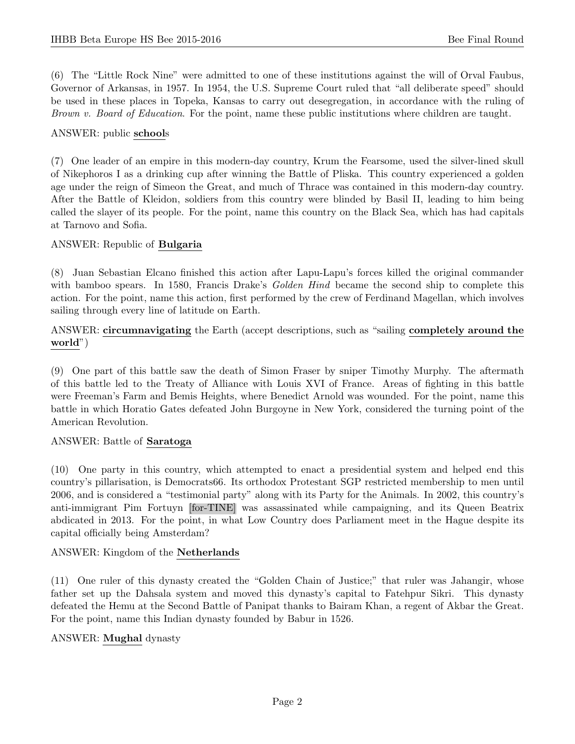(6) The "Little Rock Nine" were admitted to one of these institutions against the will of Orval Faubus, Governor of Arkansas, in 1957. In 1954, the U.S. Supreme Court ruled that "all deliberate speed" should be used in these places in Topeka, Kansas to carry out desegregation, in accordance with the ruling of Brown v. Board of Education. For the point, name these public institutions where children are taught.

#### ANSWER: public schools

(7) One leader of an empire in this modern-day country, Krum the Fearsome, used the silver-lined skull of Nikephoros I as a drinking cup after winning the Battle of Pliska. This country experienced a golden age under the reign of Simeon the Great, and much of Thrace was contained in this modern-day country. After the Battle of Kleidon, soldiers from this country were blinded by Basil II, leading to him being called the slayer of its people. For the point, name this country on the Black Sea, which has had capitals at Tarnovo and Sofia.

#### ANSWER: Republic of Bulgaria

(8) Juan Sebastian Elcano finished this action after Lapu-Lapu's forces killed the original commander with bamboo spears. In 1580, Francis Drake's *Golden Hind* became the second ship to complete this action. For the point, name this action, first performed by the crew of Ferdinand Magellan, which involves sailing through every line of latitude on Earth.

ANSWER: circumnavigating the Earth (accept descriptions, such as "sailing completely around the world")

(9) One part of this battle saw the death of Simon Fraser by sniper Timothy Murphy. The aftermath of this battle led to the Treaty of Alliance with Louis XVI of France. Areas of fighting in this battle were Freeman's Farm and Bemis Heights, where Benedict Arnold was wounded. For the point, name this battle in which Horatio Gates defeated John Burgoyne in New York, considered the turning point of the American Revolution.

#### ANSWER: Battle of Saratoga

(10) One party in this country, which attempted to enact a presidential system and helped end this country's pillarisation, is Democrats66. Its orthodox Protestant SGP restricted membership to men until 2006, and is considered a "testimonial party" along with its Party for the Animals. In 2002, this country's anti-immigrant Pim Fortuyn [for-TINE] was assassinated while campaigning, and its Queen Beatrix abdicated in 2013. For the point, in what Low Country does Parliament meet in the Hague despite its capital officially being Amsterdam?

#### ANSWER: Kingdom of the Netherlands

(11) One ruler of this dynasty created the "Golden Chain of Justice;" that ruler was Jahangir, whose father set up the Dahsala system and moved this dynasty's capital to Fatehpur Sikri. This dynasty defeated the Hemu at the Second Battle of Panipat thanks to Bairam Khan, a regent of Akbar the Great. For the point, name this Indian dynasty founded by Babur in 1526.

#### ANSWER: Mughal dynasty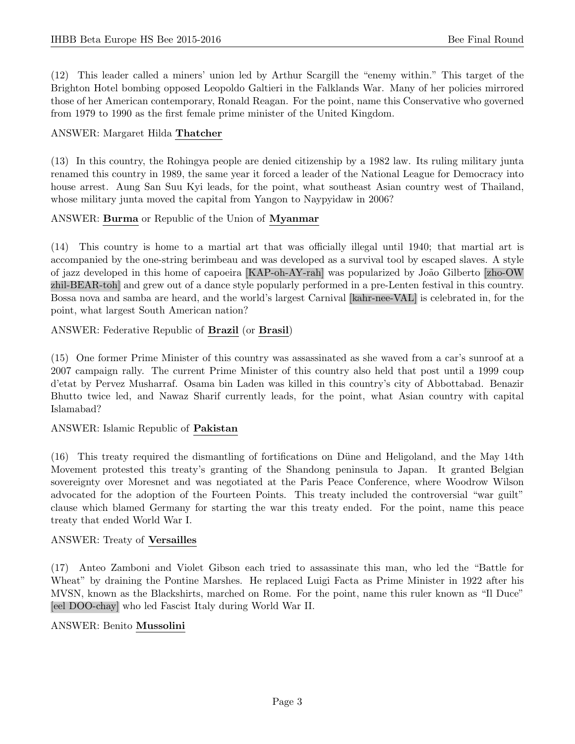(12) This leader called a miners' union led by Arthur Scargill the "enemy within." This target of the Brighton Hotel bombing opposed Leopoldo Galtieri in the Falklands War. Many of her policies mirrored those of her American contemporary, Ronald Reagan. For the point, name this Conservative who governed from 1979 to 1990 as the first female prime minister of the United Kingdom.

#### ANSWER: Margaret Hilda Thatcher

(13) In this country, the Rohingya people are denied citizenship by a 1982 law. Its ruling military junta renamed this country in 1989, the same year it forced a leader of the National League for Democracy into house arrest. Aung San Suu Kyi leads, for the point, what southeast Asian country west of Thailand, whose military junta moved the capital from Yangon to Naypyidaw in 2006?

#### ANSWER: Burma or Republic of the Union of Myanmar

(14) This country is home to a martial art that was officially illegal until 1940; that martial art is accompanied by the one-string berimbeau and was developed as a survival tool by escaped slaves. A style of jazz developed in this home of capoeira [KAP-oh-AY-rah] was popularized by João Gilberto [zho-OW] zhil-BEAR-toh] and grew out of a dance style popularly performed in a pre-Lenten festival in this country. Bossa nova and samba are heard, and the world's largest Carnival [kahr-nee-VAL] is celebrated in, for the point, what largest South American nation?

ANSWER: Federative Republic of Brazil (or Brasil)

(15) One former Prime Minister of this country was assassinated as she waved from a car's sunroof at a 2007 campaign rally. The current Prime Minister of this country also held that post until a 1999 coup d'etat by Pervez Musharraf. Osama bin Laden was killed in this country's city of Abbottabad. Benazir Bhutto twice led, and Nawaz Sharif currently leads, for the point, what Asian country with capital Islamabad?

#### ANSWER: Islamic Republic of Pakistan

(16) This treaty required the dismantling of fortifications on D¨une and Heligoland, and the May 14th Movement protested this treaty's granting of the Shandong peninsula to Japan. It granted Belgian sovereignty over Moresnet and was negotiated at the Paris Peace Conference, where Woodrow Wilson advocated for the adoption of the Fourteen Points. This treaty included the controversial "war guilt" clause which blamed Germany for starting the war this treaty ended. For the point, name this peace treaty that ended World War I.

#### ANSWER: Treaty of Versailles

(17) Anteo Zamboni and Violet Gibson each tried to assassinate this man, who led the "Battle for Wheat" by draining the Pontine Marshes. He replaced Luigi Facta as Prime Minister in 1922 after his MVSN, known as the Blackshirts, marched on Rome. For the point, name this ruler known as "Il Duce" [eel DOO-chay] who led Fascist Italy during World War II.

#### ANSWER: Benito Mussolini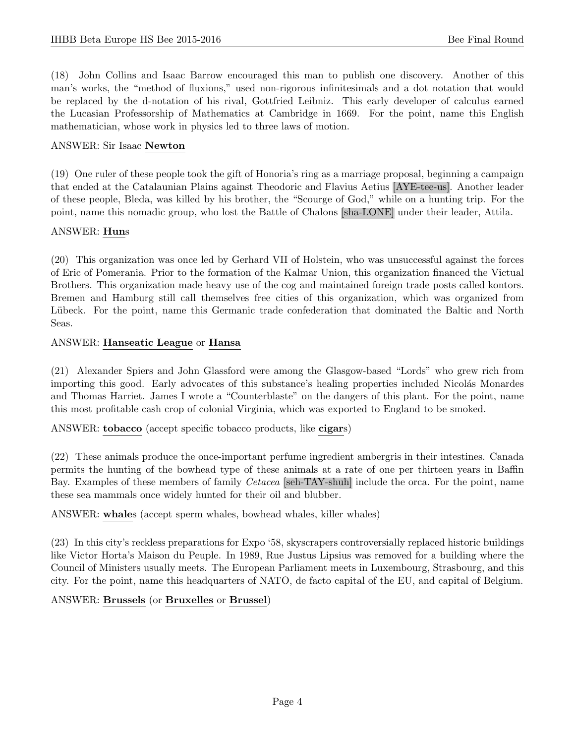(18) John Collins and Isaac Barrow encouraged this man to publish one discovery. Another of this man's works, the "method of fluxions," used non-rigorous infinitesimals and a dot notation that would be replaced by the d-notation of his rival, Gottfried Leibniz. This early developer of calculus earned the Lucasian Professorship of Mathematics at Cambridge in 1669. For the point, name this English mathematician, whose work in physics led to three laws of motion.

#### ANSWER: Sir Isaac Newton

(19) One ruler of these people took the gift of Honoria's ring as a marriage proposal, beginning a campaign that ended at the Catalaunian Plains against Theodoric and Flavius Aetius [AYE-tee-us]. Another leader of these people, Bleda, was killed by his brother, the "Scourge of God," while on a hunting trip. For the point, name this nomadic group, who lost the Battle of Chalons [sha-LONE] under their leader, Attila.

#### ANSWER: Huns

(20) This organization was once led by Gerhard VII of Holstein, who was unsuccessful against the forces of Eric of Pomerania. Prior to the formation of the Kalmar Union, this organization financed the Victual Brothers. This organization made heavy use of the cog and maintained foreign trade posts called kontors. Bremen and Hamburg still call themselves free cities of this organization, which was organized from Lübeck. For the point, name this Germanic trade confederation that dominated the Baltic and North Seas.

#### ANSWER: Hanseatic League or Hansa

(21) Alexander Spiers and John Glassford were among the Glasgow-based "Lords" who grew rich from importing this good. Early advocates of this substance's healing properties included Nicolás Monardes and Thomas Harriet. James I wrote a "Counterblaste" on the dangers of this plant. For the point, name this most profitable cash crop of colonial Virginia, which was exported to England to be smoked.

ANSWER: tobacco (accept specific tobacco products, like cigars)

(22) These animals produce the once-important perfume ingredient ambergris in their intestines. Canada permits the hunting of the bowhead type of these animals at a rate of one per thirteen years in Baffin Bay. Examples of these members of family Cetacea [seh-TAY-shuh] include the orca. For the point, name these sea mammals once widely hunted for their oil and blubber.

ANSWER: whales (accept sperm whales, bowhead whales, killer whales)

(23) In this city's reckless preparations for Expo '58, skyscrapers controversially replaced historic buildings like Victor Horta's Maison du Peuple. In 1989, Rue Justus Lipsius was removed for a building where the Council of Ministers usually meets. The European Parliament meets in Luxembourg, Strasbourg, and this city. For the point, name this headquarters of NATO, de facto capital of the EU, and capital of Belgium.

# ANSWER: Brussels (or Bruxelles or Brussel)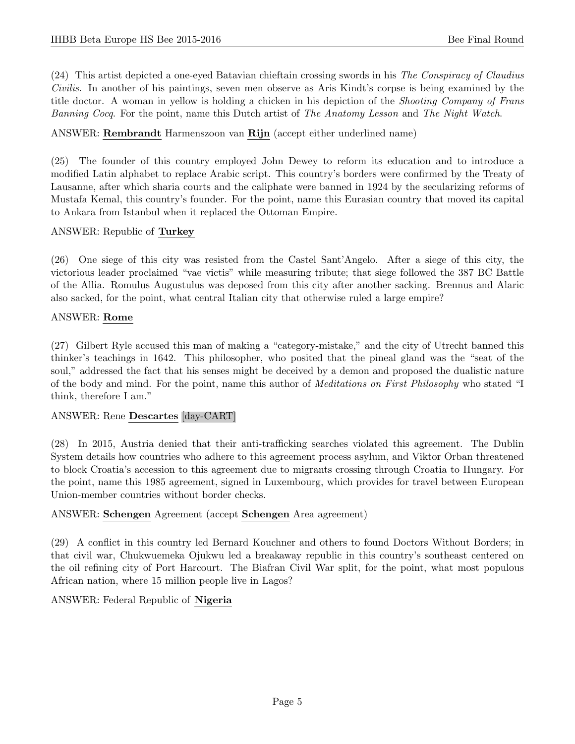(24) This artist depicted a one-eyed Batavian chieftain crossing swords in his The Conspiracy of Claudius Civilis. In another of his paintings, seven men observe as Aris Kindt's corpse is being examined by the title doctor. A woman in yellow is holding a chicken in his depiction of the Shooting Company of Frans Banning Cocq. For the point, name this Dutch artist of The Anatomy Lesson and The Night Watch.

# ANSWER: Rembrandt Harmenszoon van Rijn (accept either underlined name)

(25) The founder of this country employed John Dewey to reform its education and to introduce a modified Latin alphabet to replace Arabic script. This country's borders were confirmed by the Treaty of Lausanne, after which sharia courts and the caliphate were banned in 1924 by the secularizing reforms of Mustafa Kemal, this country's founder. For the point, name this Eurasian country that moved its capital to Ankara from Istanbul when it replaced the Ottoman Empire.

# ANSWER: Republic of Turkey

(26) One siege of this city was resisted from the Castel Sant'Angelo. After a siege of this city, the victorious leader proclaimed "vae victis" while measuring tribute; that siege followed the 387 BC Battle of the Allia. Romulus Augustulus was deposed from this city after another sacking. Brennus and Alaric also sacked, for the point, what central Italian city that otherwise ruled a large empire?

# ANSWER: Rome

(27) Gilbert Ryle accused this man of making a "category-mistake," and the city of Utrecht banned this thinker's teachings in 1642. This philosopher, who posited that the pineal gland was the "seat of the soul," addressed the fact that his senses might be deceived by a demon and proposed the dualistic nature of the body and mind. For the point, name this author of Meditations on First Philosophy who stated "I think, therefore I am."

# ANSWER: Rene Descartes [day-CART]

(28) In 2015, Austria denied that their anti-trafficking searches violated this agreement. The Dublin System details how countries who adhere to this agreement process asylum, and Viktor Orban threatened to block Croatia's accession to this agreement due to migrants crossing through Croatia to Hungary. For the point, name this 1985 agreement, signed in Luxembourg, which provides for travel between European Union-member countries without border checks.

# ANSWER: Schengen Agreement (accept Schengen Area agreement)

(29) A conflict in this country led Bernard Kouchner and others to found Doctors Without Borders; in that civil war, Chukwuemeka Ojukwu led a breakaway republic in this country's southeast centered on the oil refining city of Port Harcourt. The Biafran Civil War split, for the point, what most populous African nation, where 15 million people live in Lagos?

# ANSWER: Federal Republic of Nigeria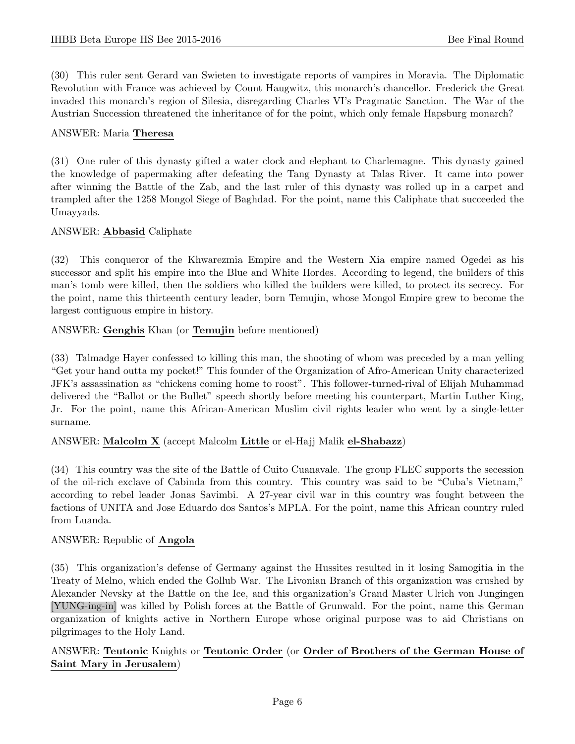(30) This ruler sent Gerard van Swieten to investigate reports of vampires in Moravia. The Diplomatic Revolution with France was achieved by Count Haugwitz, this monarch's chancellor. Frederick the Great invaded this monarch's region of Silesia, disregarding Charles VI's Pragmatic Sanction. The War of the Austrian Succession threatened the inheritance of for the point, which only female Hapsburg monarch?

# ANSWER: Maria Theresa

(31) One ruler of this dynasty gifted a water clock and elephant to Charlemagne. This dynasty gained the knowledge of papermaking after defeating the Tang Dynasty at Talas River. It came into power after winning the Battle of the Zab, and the last ruler of this dynasty was rolled up in a carpet and trampled after the 1258 Mongol Siege of Baghdad. For the point, name this Caliphate that succeeded the Umayyads.

# ANSWER: Abbasid Caliphate

(32) This conqueror of the Khwarezmia Empire and the Western Xia empire named Ogedei as his successor and split his empire into the Blue and White Hordes. According to legend, the builders of this man's tomb were killed, then the soldiers who killed the builders were killed, to protect its secrecy. For the point, name this thirteenth century leader, born Temujin, whose Mongol Empire grew to become the largest contiguous empire in history.

# ANSWER: Genghis Khan (or Temujin before mentioned)

(33) Talmadge Hayer confessed to killing this man, the shooting of whom was preceded by a man yelling "Get your hand outta my pocket!" This founder of the Organization of Afro-American Unity characterized JFK's assassination as "chickens coming home to roost". This follower-turned-rival of Elijah Muhammad delivered the "Ballot or the Bullet" speech shortly before meeting his counterpart, Martin Luther King, Jr. For the point, name this African-American Muslim civil rights leader who went by a single-letter surname.

# ANSWER: Malcolm X (accept Malcolm Little or el-Hajj Malik el-Shabazz)

(34) This country was the site of the Battle of Cuito Cuanavale. The group FLEC supports the secession of the oil-rich exclave of Cabinda from this country. This country was said to be "Cuba's Vietnam," according to rebel leader Jonas Savimbi. A 27-year civil war in this country was fought between the factions of UNITA and Jose Eduardo dos Santos's MPLA. For the point, name this African country ruled from Luanda.

# ANSWER: Republic of Angola

(35) This organization's defense of Germany against the Hussites resulted in it losing Samogitia in the Treaty of Melno, which ended the Gollub War. The Livonian Branch of this organization was crushed by Alexander Nevsky at the Battle on the Ice, and this organization's Grand Master Ulrich von Jungingen [YUNG-ing-in] was killed by Polish forces at the Battle of Grunwald. For the point, name this German organization of knights active in Northern Europe whose original purpose was to aid Christians on pilgrimages to the Holy Land.

# ANSWER: Teutonic Knights or Teutonic Order (or Order of Brothers of the German House of Saint Mary in Jerusalem)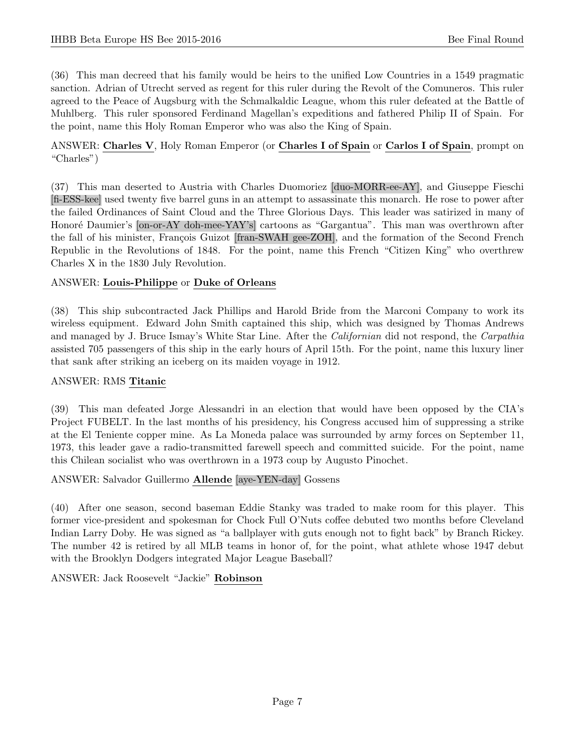(36) This man decreed that his family would be heirs to the unified Low Countries in a 1549 pragmatic sanction. Adrian of Utrecht served as regent for this ruler during the Revolt of the Comuneros. This ruler agreed to the Peace of Augsburg with the Schmalkaldic League, whom this ruler defeated at the Battle of Muhlberg. This ruler sponsored Ferdinand Magellan's expeditions and fathered Philip II of Spain. For the point, name this Holy Roman Emperor who was also the King of Spain.

# ANSWER: Charles V, Holy Roman Emperor (or Charles I of Spain or Carlos I of Spain, prompt on "Charles")

(37) This man deserted to Austria with Charles Duomoriez [duo-MORR-ee-AY], and Giuseppe Fieschi [fi-ESS-kee] used twenty five barrel guns in an attempt to assassinate this monarch. He rose to power after the failed Ordinances of Saint Cloud and the Three Glorious Days. This leader was satirized in many of Honoré Daumier's [on-or-AY doh-mee-YAY's] cartoons as "Gargantua". This man was overthrown after the fall of his minister, François Guizot [fran-SWAH gee-ZOH], and the formation of the Second French Republic in the Revolutions of 1848. For the point, name this French "Citizen King" who overthrew Charles X in the 1830 July Revolution.

# ANSWER: Louis-Philippe or Duke of Orleans

(38) This ship subcontracted Jack Phillips and Harold Bride from the Marconi Company to work its wireless equipment. Edward John Smith captained this ship, which was designed by Thomas Andrews and managed by J. Bruce Ismay's White Star Line. After the *Californian* did not respond, the *Carpathia* assisted 705 passengers of this ship in the early hours of April 15th. For the point, name this luxury liner that sank after striking an iceberg on its maiden voyage in 1912.

# ANSWER: RMS Titanic

(39) This man defeated Jorge Alessandri in an election that would have been opposed by the CIA's Project FUBELT. In the last months of his presidency, his Congress accused him of suppressing a strike at the El Teniente copper mine. As La Moneda palace was surrounded by army forces on September 11, 1973, this leader gave a radio-transmitted farewell speech and committed suicide. For the point, name this Chilean socialist who was overthrown in a 1973 coup by Augusto Pinochet.

# ANSWER: Salvador Guillermo Allende [aye-YEN-day] Gossens

(40) After one season, second baseman Eddie Stanky was traded to make room for this player. This former vice-president and spokesman for Chock Full O'Nuts coffee debuted two months before Cleveland Indian Larry Doby. He was signed as "a ballplayer with guts enough not to fight back" by Branch Rickey. The number 42 is retired by all MLB teams in honor of, for the point, what athlete whose 1947 debut with the Brooklyn Dodgers integrated Major League Baseball?

ANSWER: Jack Roosevelt "Jackie" Robinson